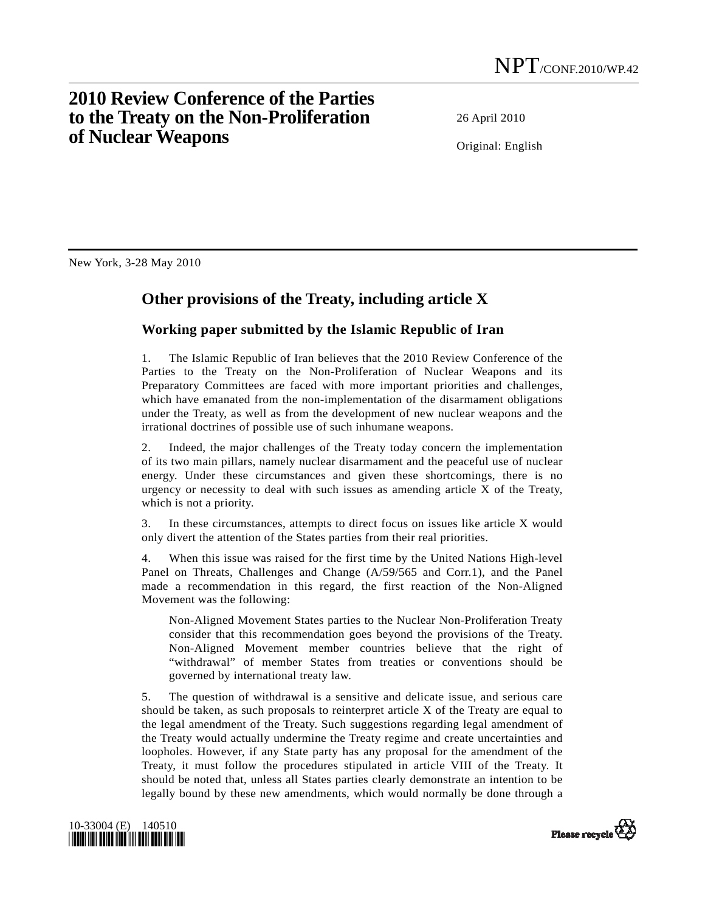## **2010 Review Conference of the Parties to the Treaty on the Non-Proliferation of Nuclear Weapons**

26 April 2010

Original: English

New York, 3-28 May 2010

## **Other provisions of the Treaty, including article X**

## **Working paper submitted by the Islamic Republic of Iran**

1. The Islamic Republic of Iran believes that the 2010 Review Conference of the Parties to the Treaty on the Non-Proliferation of Nuclear Weapons and its Preparatory Committees are faced with more important priorities and challenges, which have emanated from the non-implementation of the disarmament obligations under the Treaty, as well as from the development of new nuclear weapons and the irrational doctrines of possible use of such inhumane weapons.

2. Indeed, the major challenges of the Treaty today concern the implementation of its two main pillars, namely nuclear disarmament and the peaceful use of nuclear energy. Under these circumstances and given these shortcomings, there is no urgency or necessity to deal with such issues as amending article X of the Treaty, which is not a priority.

3. In these circumstances, attempts to direct focus on issues like article X would only divert the attention of the States parties from their real priorities.

4. When this issue was raised for the first time by the United Nations High-level Panel on Threats, Challenges and Change (A/59/565 and Corr.1), and the Panel made a recommendation in this regard, the first reaction of the Non-Aligned Movement was the following:

 Non-Aligned Movement States parties to the Nuclear Non-Proliferation Treaty consider that this recommendation goes beyond the provisions of the Treaty. Non-Aligned Movement member countries believe that the right of "withdrawal" of member States from treaties or conventions should be governed by international treaty law.

5. The question of withdrawal is a sensitive and delicate issue, and serious care should be taken, as such proposals to reinterpret article X of the Treaty are equal to the legal amendment of the Treaty. Such suggestions regarding legal amendment of the Treaty would actually undermine the Treaty regime and create uncertainties and loopholes. However, if any State party has any proposal for the amendment of the Treaty, it must follow the procedures stipulated in article VIII of the Treaty. It should be noted that, unless all States parties clearly demonstrate an intention to be legally bound by these new amendments, which would normally be done through a



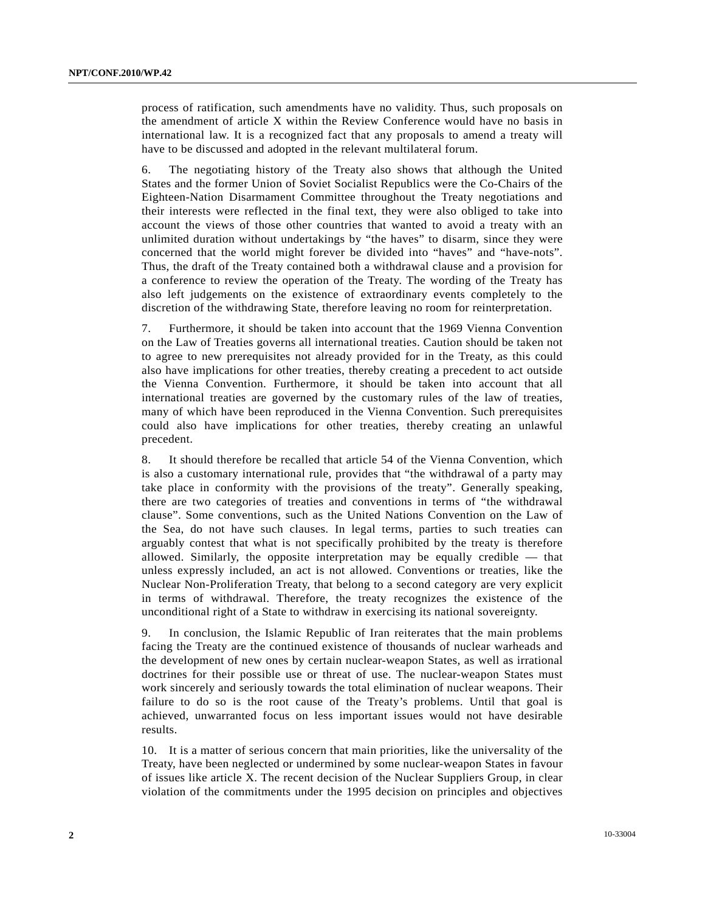process of ratification, such amendments have no validity. Thus, such proposals on the amendment of article X within the Review Conference would have no basis in international law. It is a recognized fact that any proposals to amend a treaty will have to be discussed and adopted in the relevant multilateral forum.

6. The negotiating history of the Treaty also shows that although the United States and the former Union of Soviet Socialist Republics were the Co-Chairs of the Eighteen-Nation Disarmament Committee throughout the Treaty negotiations and their interests were reflected in the final text, they were also obliged to take into account the views of those other countries that wanted to avoid a treaty with an unlimited duration without undertakings by "the haves" to disarm, since they were concerned that the world might forever be divided into "haves" and "have-nots". Thus, the draft of the Treaty contained both a withdrawal clause and a provision for a conference to review the operation of the Treaty. The wording of the Treaty has also left judgements on the existence of extraordinary events completely to the discretion of the withdrawing State, therefore leaving no room for reinterpretation.

7. Furthermore, it should be taken into account that the 1969 Vienna Convention on the Law of Treaties governs all international treaties. Caution should be taken not to agree to new prerequisites not already provided for in the Treaty, as this could also have implications for other treaties, thereby creating a precedent to act outside the Vienna Convention. Furthermore, it should be taken into account that all international treaties are governed by the customary rules of the law of treaties, many of which have been reproduced in the Vienna Convention. Such prerequisites could also have implications for other treaties, thereby creating an unlawful precedent.

8. It should therefore be recalled that article 54 of the Vienna Convention, which is also a customary international rule, provides that "the withdrawal of a party may take place in conformity with the provisions of the treaty". Generally speaking, there are two categories of treaties and conventions in terms of "the withdrawal clause". Some conventions, such as the United Nations Convention on the Law of the Sea, do not have such clauses. In legal terms, parties to such treaties can arguably contest that what is not specifically prohibited by the treaty is therefore allowed. Similarly, the opposite interpretation may be equally credible — that unless expressly included, an act is not allowed. Conventions or treaties, like the Nuclear Non-Proliferation Treaty, that belong to a second category are very explicit in terms of withdrawal. Therefore, the treaty recognizes the existence of the unconditional right of a State to withdraw in exercising its national sovereignty.

9. In conclusion, the Islamic Republic of Iran reiterates that the main problems facing the Treaty are the continued existence of thousands of nuclear warheads and the development of new ones by certain nuclear-weapon States, as well as irrational doctrines for their possible use or threat of use. The nuclear-weapon States must work sincerely and seriously towards the total elimination of nuclear weapons. Their failure to do so is the root cause of the Treaty's problems. Until that goal is achieved, unwarranted focus on less important issues would not have desirable results.

10. It is a matter of serious concern that main priorities, like the universality of the Treaty, have been neglected or undermined by some nuclear-weapon States in favour of issues like article X. The recent decision of the Nuclear Suppliers Group, in clear violation of the commitments under the 1995 decision on principles and objectives